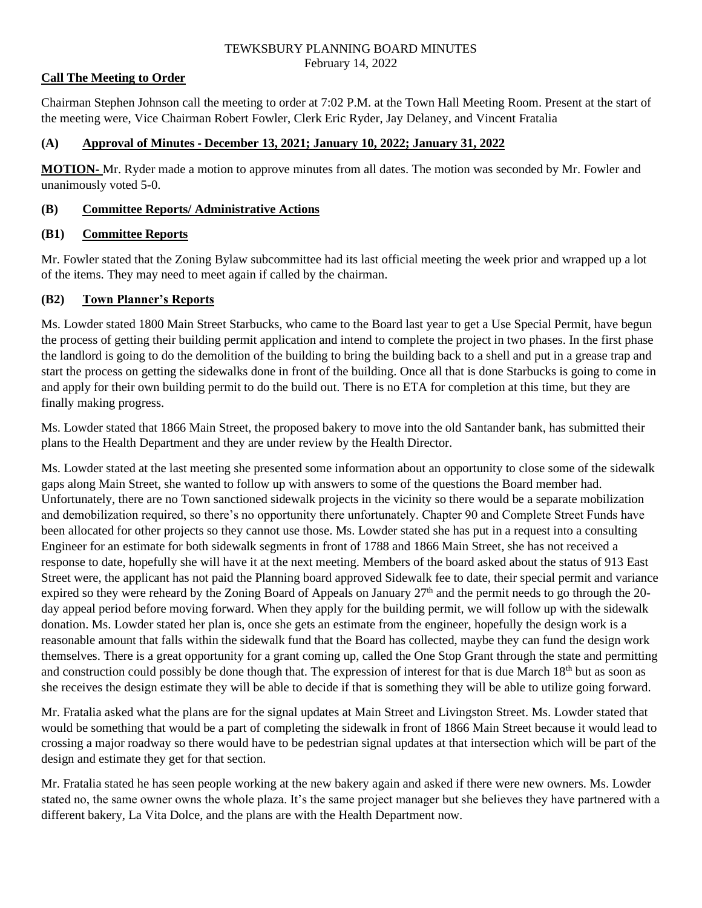#### TEWKSBURY PLANNING BOARD MINUTES February 14, 2022

## **Call The Meeting to Order**

Chairman Stephen Johnson call the meeting to order at 7:02 P.M. at the Town Hall Meeting Room. Present at the start of the meeting were, Vice Chairman Robert Fowler, Clerk Eric Ryder, Jay Delaney, and Vincent Fratalia

## **(A) Approval of Minutes - December 13, 2021; January 10, 2022; January 31, 2022**

**MOTION-** Mr. Ryder made a motion to approve minutes from all dates. The motion was seconded by Mr. Fowler and unanimously voted 5-0.

## **(B) Committee Reports/ Administrative Actions**

## **(B1) Committee Reports**

Mr. Fowler stated that the Zoning Bylaw subcommittee had its last official meeting the week prior and wrapped up a lot of the items. They may need to meet again if called by the chairman.

## **(B2) Town Planner's Reports**

Ms. Lowder stated 1800 Main Street Starbucks, who came to the Board last year to get a Use Special Permit, have begun the process of getting their building permit application and intend to complete the project in two phases. In the first phase the landlord is going to do the demolition of the building to bring the building back to a shell and put in a grease trap and start the process on getting the sidewalks done in front of the building. Once all that is done Starbucks is going to come in and apply for their own building permit to do the build out. There is no ETA for completion at this time, but they are finally making progress.

Ms. Lowder stated that 1866 Main Street, the proposed bakery to move into the old Santander bank, has submitted their plans to the Health Department and they are under review by the Health Director.

Ms. Lowder stated at the last meeting she presented some information about an opportunity to close some of the sidewalk gaps along Main Street, she wanted to follow up with answers to some of the questions the Board member had. Unfortunately, there are no Town sanctioned sidewalk projects in the vicinity so there would be a separate mobilization and demobilization required, so there's no opportunity there unfortunately. Chapter 90 and Complete Street Funds have been allocated for other projects so they cannot use those. Ms. Lowder stated she has put in a request into a consulting Engineer for an estimate for both sidewalk segments in front of 1788 and 1866 Main Street, she has not received a response to date, hopefully she will have it at the next meeting. Members of the board asked about the status of 913 East Street were, the applicant has not paid the Planning board approved Sidewalk fee to date, their special permit and variance expired so they were reheard by the Zoning Board of Appeals on January  $27<sup>th</sup>$  and the permit needs to go through the 20day appeal period before moving forward. When they apply for the building permit, we will follow up with the sidewalk donation. Ms. Lowder stated her plan is, once she gets an estimate from the engineer, hopefully the design work is a reasonable amount that falls within the sidewalk fund that the Board has collected, maybe they can fund the design work themselves. There is a great opportunity for a grant coming up, called the One Stop Grant through the state and permitting and construction could possibly be done though that. The expression of interest for that is due March 18<sup>th</sup> but as soon as she receives the design estimate they will be able to decide if that is something they will be able to utilize going forward.

Mr. Fratalia asked what the plans are for the signal updates at Main Street and Livingston Street. Ms. Lowder stated that would be something that would be a part of completing the sidewalk in front of 1866 Main Street because it would lead to crossing a major roadway so there would have to be pedestrian signal updates at that intersection which will be part of the design and estimate they get for that section.

Mr. Fratalia stated he has seen people working at the new bakery again and asked if there were new owners. Ms. Lowder stated no, the same owner owns the whole plaza. It's the same project manager but she believes they have partnered with a different bakery, La Vita Dolce, and the plans are with the Health Department now.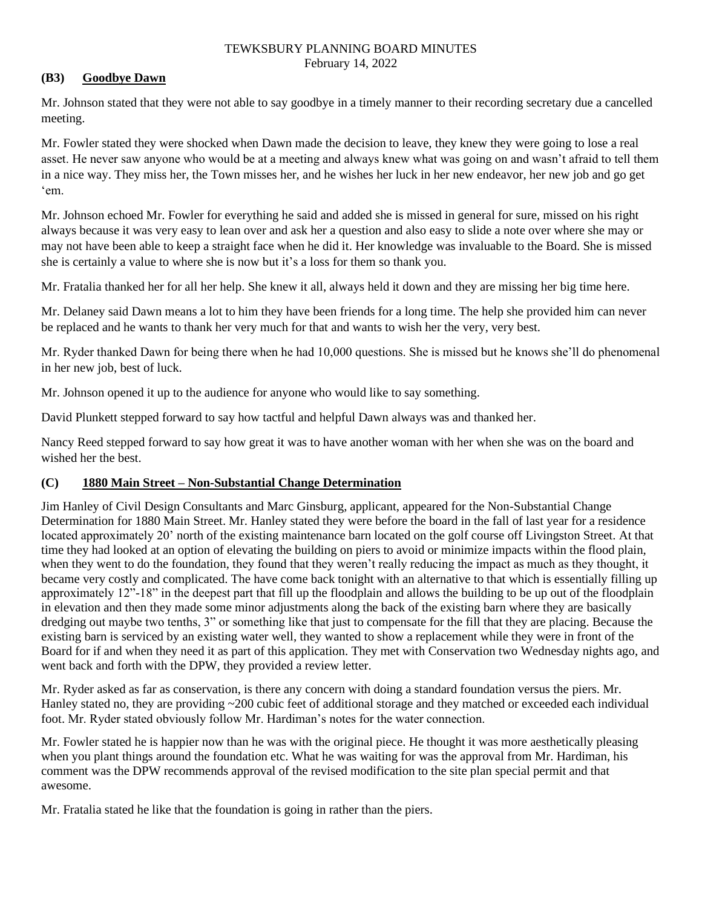#### TEWKSBURY PLANNING BOARD MINUTES February 14, 2022

# **(B3) Goodbye Dawn**

Mr. Johnson stated that they were not able to say goodbye in a timely manner to their recording secretary due a cancelled meeting.

Mr. Fowler stated they were shocked when Dawn made the decision to leave, they knew they were going to lose a real asset. He never saw anyone who would be at a meeting and always knew what was going on and wasn't afraid to tell them in a nice way. They miss her, the Town misses her, and he wishes her luck in her new endeavor, her new job and go get 'em.

Mr. Johnson echoed Mr. Fowler for everything he said and added she is missed in general for sure, missed on his right always because it was very easy to lean over and ask her a question and also easy to slide a note over where she may or may not have been able to keep a straight face when he did it. Her knowledge was invaluable to the Board. She is missed she is certainly a value to where she is now but it's a loss for them so thank you.

Mr. Fratalia thanked her for all her help. She knew it all, always held it down and they are missing her big time here.

Mr. Delaney said Dawn means a lot to him they have been friends for a long time. The help she provided him can never be replaced and he wants to thank her very much for that and wants to wish her the very, very best.

Mr. Ryder thanked Dawn for being there when he had 10,000 questions. She is missed but he knows she'll do phenomenal in her new job, best of luck.

Mr. Johnson opened it up to the audience for anyone who would like to say something.

David Plunkett stepped forward to say how tactful and helpful Dawn always was and thanked her.

Nancy Reed stepped forward to say how great it was to have another woman with her when she was on the board and wished her the best.

# **(C) 1880 Main Street – Non-Substantial Change Determination**

Jim Hanley of Civil Design Consultants and Marc Ginsburg, applicant, appeared for the Non-Substantial Change Determination for 1880 Main Street. Mr. Hanley stated they were before the board in the fall of last year for a residence located approximately 20' north of the existing maintenance barn located on the golf course off Livingston Street. At that time they had looked at an option of elevating the building on piers to avoid or minimize impacts within the flood plain, when they went to do the foundation, they found that they weren't really reducing the impact as much as they thought, it became very costly and complicated. The have come back tonight with an alternative to that which is essentially filling up approximately 12"-18" in the deepest part that fill up the floodplain and allows the building to be up out of the floodplain in elevation and then they made some minor adjustments along the back of the existing barn where they are basically dredging out maybe two tenths, 3" or something like that just to compensate for the fill that they are placing. Because the existing barn is serviced by an existing water well, they wanted to show a replacement while they were in front of the Board for if and when they need it as part of this application. They met with Conservation two Wednesday nights ago, and went back and forth with the DPW, they provided a review letter.

Mr. Ryder asked as far as conservation, is there any concern with doing a standard foundation versus the piers. Mr. Hanley stated no, they are providing ~200 cubic feet of additional storage and they matched or exceeded each individual foot. Mr. Ryder stated obviously follow Mr. Hardiman's notes for the water connection.

Mr. Fowler stated he is happier now than he was with the original piece. He thought it was more aesthetically pleasing when you plant things around the foundation etc. What he was waiting for was the approval from Mr. Hardiman, his comment was the DPW recommends approval of the revised modification to the site plan special permit and that awesome.

Mr. Fratalia stated he like that the foundation is going in rather than the piers.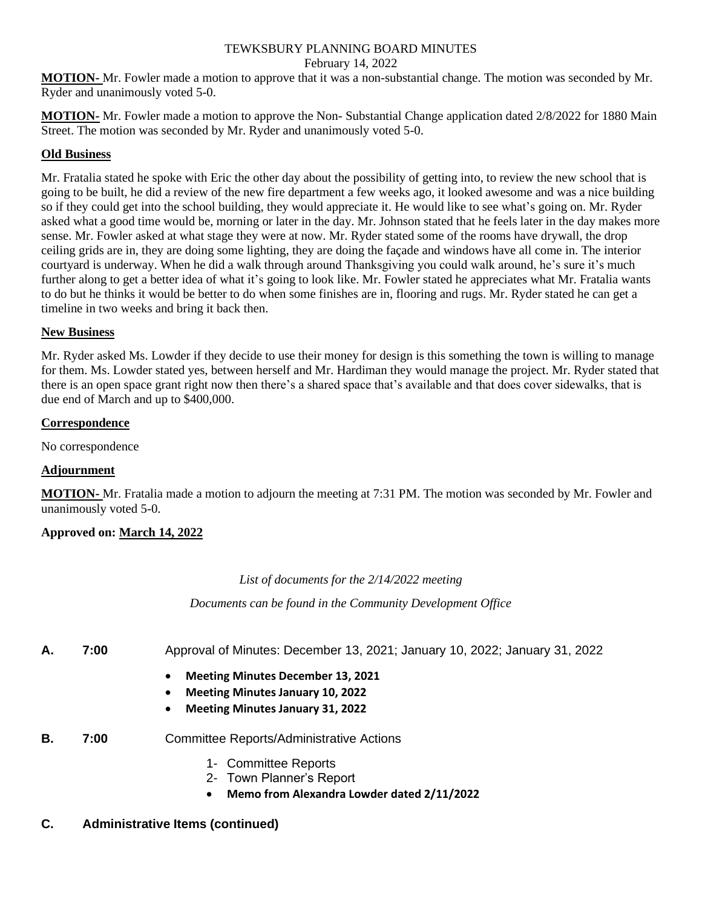#### TEWKSBURY PLANNING BOARD MINUTES February 14, 2022

**MOTION-** Mr. Fowler made a motion to approve that it was a non-substantial change. The motion was seconded by Mr. Ryder and unanimously voted 5-0.

**MOTION-** Mr. Fowler made a motion to approve the Non- Substantial Change application dated 2/8/2022 for 1880 Main Street. The motion was seconded by Mr. Ryder and unanimously voted 5-0.

# **Old Business**

Mr. Fratalia stated he spoke with Eric the other day about the possibility of getting into, to review the new school that is going to be built, he did a review of the new fire department a few weeks ago, it looked awesome and was a nice building so if they could get into the school building, they would appreciate it. He would like to see what's going on. Mr. Ryder asked what a good time would be, morning or later in the day. Mr. Johnson stated that he feels later in the day makes more sense. Mr. Fowler asked at what stage they were at now. Mr. Ryder stated some of the rooms have drywall, the drop ceiling grids are in, they are doing some lighting, they are doing the façade and windows have all come in. The interior courtyard is underway. When he did a walk through around Thanksgiving you could walk around, he's sure it's much further along to get a better idea of what it's going to look like. Mr. Fowler stated he appreciates what Mr. Fratalia wants to do but he thinks it would be better to do when some finishes are in, flooring and rugs. Mr. Ryder stated he can get a timeline in two weeks and bring it back then.

## **New Business**

Mr. Ryder asked Ms. Lowder if they decide to use their money for design is this something the town is willing to manage for them. Ms. Lowder stated yes, between herself and Mr. Hardiman they would manage the project. Mr. Ryder stated that there is an open space grant right now then there's a shared space that's available and that does cover sidewalks, that is due end of March and up to \$400,000.

#### **Correspondence**

No correspondence

# **Adjournment**

**MOTION-** Mr. Fratalia made a motion to adjourn the meeting at 7:31 PM. The motion was seconded by Mr. Fowler and unanimously voted 5-0.

# **Approved on: March 14, 2022**

# *List of documents for the 2/14/2022 meeting*

*Documents can be found in the Community Development Office*

- **A. 7:00** Approval of Minutes: December 13, 2021; January 10, 2022; January 31, 2022
	- **Meeting Minutes December 13, 2021**
	- **Meeting Minutes January 10, 2022**
	- **Meeting Minutes January 31, 2022**
- **B. 7:00** Committee Reports/Administrative Actions
	- 1- Committee Reports
	- 2- Town Planner's Report
	- **Memo from Alexandra Lowder dated 2/11/2022**

# **C. Administrative Items (continued)**